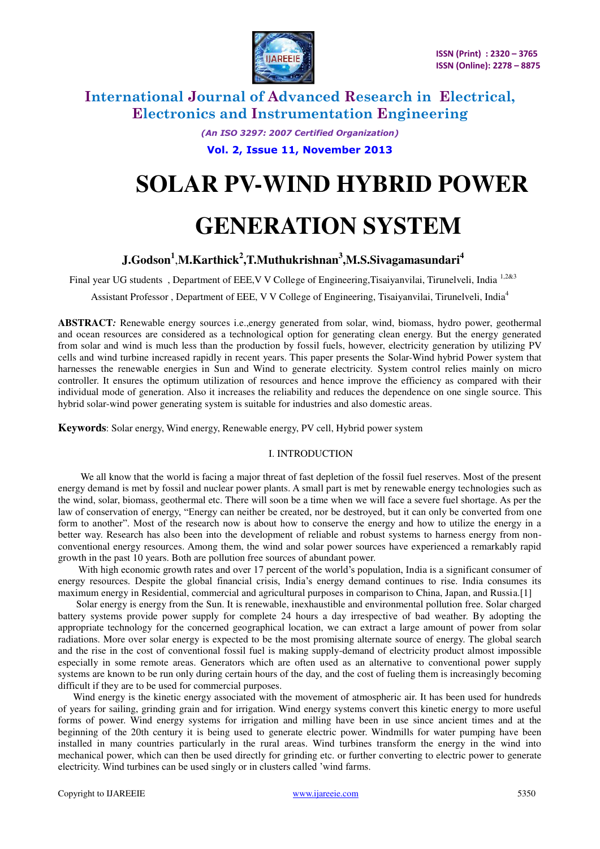

> *(An ISO 3297: 2007 Certified Organization)*  **Vol. 2, Issue 11, November 2013**

# **SOLAR PV-WIND HYBRID POWER**

# **GENERATION SYSTEM**

## **J.Godson<sup>1</sup>** ,**M.Karthick<sup>2</sup> ,T.Muthukrishnan<sup>3</sup> ,M.S.Sivagamasundari<sup>4</sup>**

Final year UG students, Department of EEE, V V College of Engineering, Tisaiyanvilai, Tirunelveli, India 1,2&3

Assistant Professor , Department of EEE, V V College of Engineering, Tisaiyanvilai, Tirunelveli, India<sup>4</sup>

**ABSTRACT***:* Renewable energy sources i.e.,energy generated from solar, wind, biomass, hydro power, geothermal and ocean resources are considered as a technological option for generating clean energy. But the energy generated from solar and wind is much less than the production by fossil fuels, however, electricity generation by utilizing PV cells and wind turbine increased rapidly in recent years. This paper presents the Solar-Wind hybrid Power system that harnesses the renewable energies in Sun and Wind to generate electricity. System control relies mainly on micro controller. It ensures the optimum utilization of resources and hence improve the efficiency as compared with their individual mode of generation. Also it increases the reliability and reduces the dependence on one single source. This hybrid solar-wind power generating system is suitable for industries and also domestic areas.

**Keywords**: Solar energy, Wind energy, Renewable energy, PV cell, Hybrid power system

#### I. INTRODUCTION

 We all know that the world is facing a major threat of fast depletion of the fossil fuel reserves. Most of the present energy demand is met by fossil and nuclear power plants. A small part is met by renewable energy technologies such as the wind, solar, biomass, geothermal etc. There will soon be a time when we will face a severe fuel shortage. As per the law of conservation of energy, "Energy can neither be created, nor be destroyed, but it can only be converted from one form to another". Most of the research now is about how to conserve the energy and how to utilize the energy in a better way. Research has also been into the development of reliable and robust systems to harness energy from nonconventional energy resources. Among them, the wind and solar power sources have experienced a remarkably rapid growth in the past 10 years. Both are pollution free sources of abundant power.

 With high economic growth rates and over 17 percent of the world's population, India is a significant consumer of energy resources. Despite the global financial crisis, India's energy demand continues to rise. India consumes its maximum energy in Residential, commercial and agricultural purposes in comparison to China, Japan, and Russia.[1]

 Solar energy is energy from the Sun. It is renewable, inexhaustible and environmental pollution free. Solar charged battery systems provide power supply for complete 24 hours a day irrespective of bad weather. By adopting the appropriate technology for the concerned geographical location, we can extract a large amount of power from solar radiations. More over solar energy is expected to be the most promising alternate source of energy. The global search and the rise in the cost of conventional fossil fuel is making supply-demand of electricity product almost impossible especially in some remote areas. Generators which are often used as an alternative to conventional power supply systems are known to be run only during certain hours of the day, and the cost of fueling them is increasingly becoming difficult if they are to be used for commercial purposes.

 Wind energy is the kinetic energy associated with the movement of atmospheric air. It has been used for hundreds of years for sailing, grinding grain and for irrigation. Wind energy systems convert this kinetic energy to more useful forms of power. Wind energy systems for irrigation and milling have been in use since ancient times and at the beginning of the 20th century it is being used to generate electric power. Windmills for water pumping have been installed in many countries particularly in the rural areas. Wind turbines transform the energy in the wind into mechanical power, which can then be used directly for grinding etc. or further converting to electric power to generate electricity. Wind turbines can be used singly or in clusters called 'wind farms.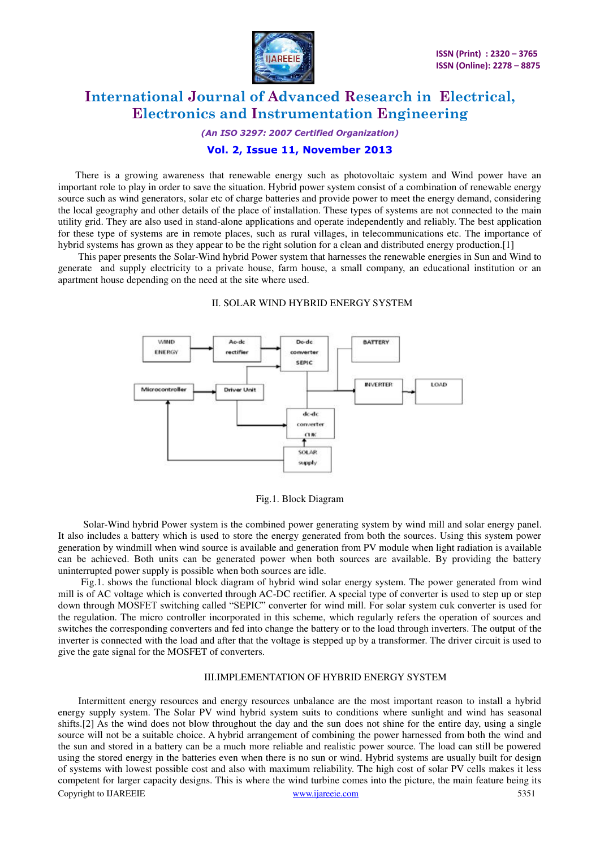

*(An ISO 3297: 2007 Certified Organization)* 

#### **Vol. 2, Issue 11, November 2013**

 There is a growing awareness that renewable energy such as photovoltaic system and Wind power have an important role to play in order to save the situation. Hybrid power system consist of a combination of renewable energy source such as wind generators, solar etc of charge batteries and provide power to meet the energy demand, considering the local geography and other details of the place of installation. These types of systems are not connected to the main utility grid. They are also used in stand-alone applications and operate independently and reliably. The best application for these type of systems are in remote places, such as rural villages, in telecommunications etc. The importance of hybrid systems has grown as they appear to be the right solution for a clean and distributed energy production.[1]

 This paper presents the Solar-Wind hybrid Power system that harnesses the renewable energies in Sun and Wind to generate and supply electricity to a private house, farm house, a small company, an educational institution or an apartment house depending on the need at the site where used.

#### II. SOLAR WIND HYBRID ENERGY SYSTEM



Fig.1. Block Diagram

 Solar-Wind hybrid Power system is the combined power generating system by wind mill and solar energy panel. It also includes a battery which is used to store the energy generated from both the sources. Using this system power generation by windmill when wind source is available and generation from PV module when light radiation is available can be achieved. Both units can be generated power when both sources are available. By providing the battery uninterrupted power supply is possible when both sources are idle.

 Fig.1. shows the functional block diagram of hybrid wind solar energy system. The power generated from wind mill is of AC voltage which is converted through AC-DC rectifier. A special type of converter is used to step up or step down through MOSFET switching called "SEPIC" converter for wind mill. For solar system cuk converter is used for the regulation. The micro controller incorporated in this scheme, which regularly refers the operation of sources and switches the corresponding converters and fed into change the battery or to the load through inverters. The output of the inverter is connected with the load and after that the voltage is stepped up by a transformer. The driver circuit is used to give the gate signal for the MOSFET of converters.

#### III.IMPLEMENTATION OF HYBRID ENERGY SYSTEM

Copyright to IJAREEIE www.ijareeie.com 5351 Intermittent energy resources and energy resources unbalance are the most important reason to install a hybrid energy supply system. The Solar PV wind hybrid system suits to conditions where sunlight and wind has seasonal shifts.[2] As the wind does not blow throughout the day and the sun does not shine for the entire day, using a single source will not be a suitable choice. A hybrid arrangement of combining the power harnessed from both the wind and the sun and stored in a battery can be a much more reliable and realistic power source. The load can still be powered using the stored energy in the batteries even when there is no sun or wind. Hybrid systems are usually built for design of systems with lowest possible cost and also with maximum reliability. The high cost of solar PV cells makes it less competent for larger capacity designs. This is where the wind turbine comes into the picture, the main feature being its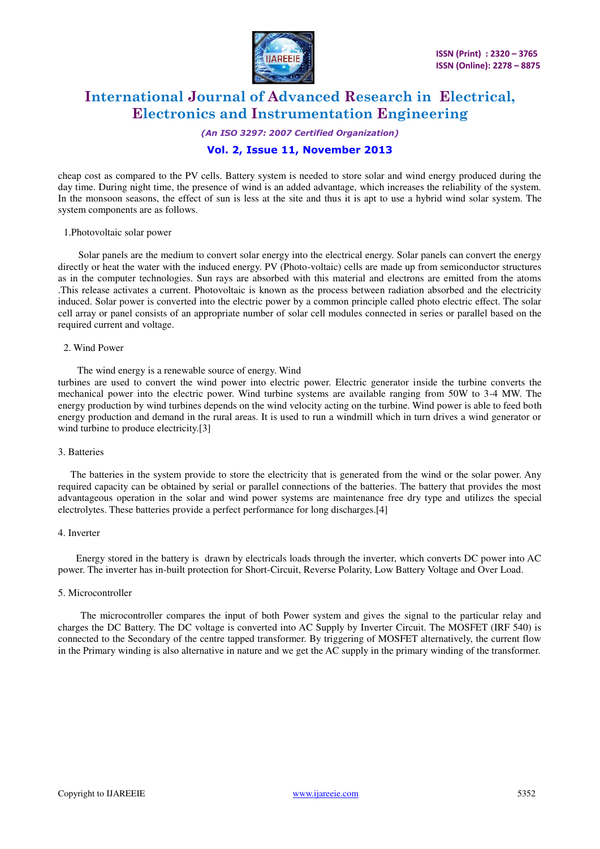

*(An ISO 3297: 2007 Certified Organization)* 

### **Vol. 2, Issue 11, November 2013**

cheap cost as compared to the PV cells. Battery system is needed to store solar and wind energy produced during the day time. During night time, the presence of wind is an added advantage, which increases the reliability of the system. In the monsoon seasons, the effect of sun is less at the site and thus it is apt to use a hybrid wind solar system. The system components are as follows.

#### 1.Photovoltaic solar power

 Solar panels are the medium to convert solar energy into the electrical energy. Solar panels can convert the energy directly or heat the water with the induced energy. PV (Photo-voltaic) cells are made up from semiconductor structures as in the computer technologies. Sun rays are absorbed with this material and electrons are emitted from the atoms .This release activates a current. Photovoltaic is known as the process between radiation absorbed and the electricity induced. Solar power is converted into the electric power by a common principle called photo electric effect. The solar cell array or panel consists of an appropriate number of solar cell modules connected in series or parallel based on the required current and voltage.

#### 2. Wind Power

The wind energy is a renewable source of energy. Wind

turbines are used to convert the wind power into electric power. Electric generator inside the turbine converts the mechanical power into the electric power. Wind turbine systems are available ranging from 50W to 3-4 MW. The energy production by wind turbines depends on the wind velocity acting on the turbine. Wind power is able to feed both energy production and demand in the rural areas. It is used to run a windmill which in turn drives a wind generator or wind turbine to produce electricity.[3]

#### 3. Batteries

 The batteries in the system provide to store the electricity that is generated from the wind or the solar power. Any required capacity can be obtained by serial or parallel connections of the batteries. The battery that provides the most advantageous operation in the solar and wind power systems are maintenance free dry type and utilizes the special electrolytes. These batteries provide a perfect performance for long discharges.[4]

#### 4. Inverter

 Energy stored in the battery is drawn by electricals loads through the inverter, which converts DC power into AC power. The inverter has in-built protection for Short-Circuit, Reverse Polarity, Low Battery Voltage and Over Load.

#### 5. Microcontroller

 The microcontroller compares the input of both Power system and gives the signal to the particular relay and charges the DC Battery. The DC voltage is converted into AC Supply by Inverter Circuit. The MOSFET (IRF 540) is connected to the Secondary of the centre tapped transformer. By triggering of MOSFET alternatively, the current flow in the Primary winding is also alternative in nature and we get the AC supply in the primary winding of the transformer.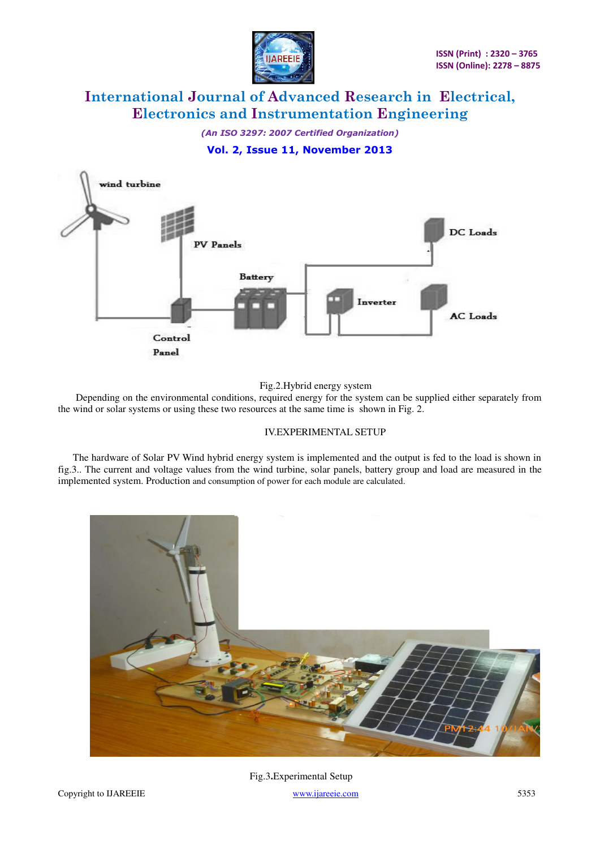

*(An ISO 3297: 2007 Certified Organization)* 

## **Vol. 2, Issue 11, November 2013**



Fig.2.Hybrid energy system

 Depending on the environmental conditions, required energy for the system can be supplied either separately from the wind or solar systems or using these two resources at the same time is shown in Fig. 2.

#### IV.EXPERIMENTAL SETUP

 The hardware of Solar PV Wind hybrid energy system is implemented and the output is fed to the load is shown in fig.3.. The current and voltage values from the wind turbine, solar panels, battery group and load are measured in the implemented system. Production and consumption of power for each module are calculated.



Fig.3**.**Experimental Setup